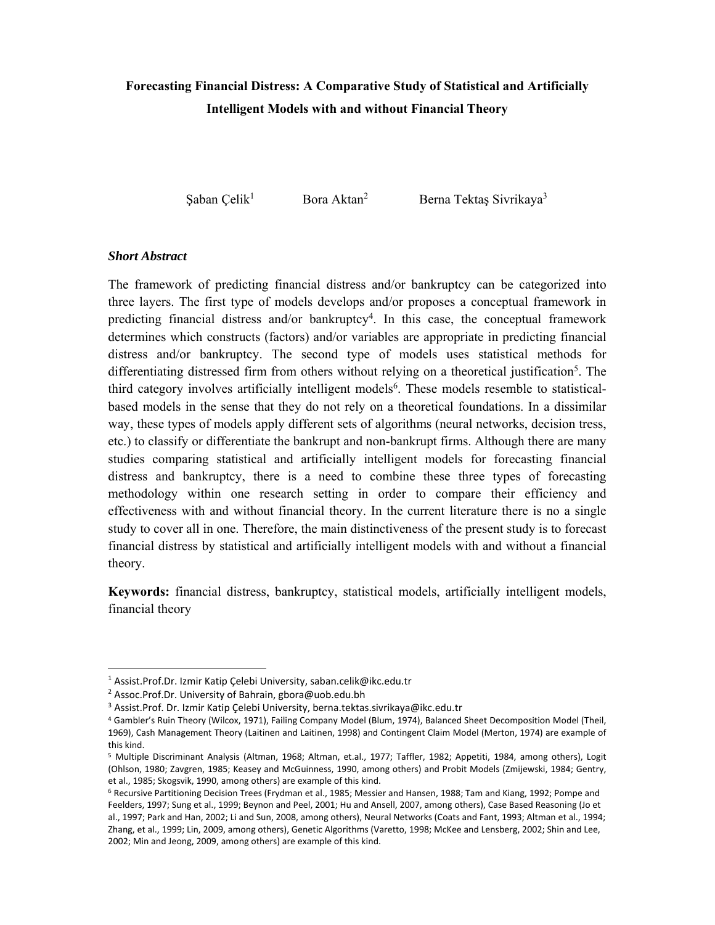# **Forecasting Financial Distress: A Comparative Study of Statistical and Artificially Intelligent Models with and without Financial Theory**

Şaban Çelik<sup>1</sup> Bora Aktan<sup>2</sup> Berna Tektaş Sivrikaya<sup>3</sup>

# *Short Abstract*

The framework of predicting financial distress and/or bankruptcy can be categorized into three layers. The first type of models develops and/or proposes a conceptual framework in predicting financial distress and/or bankruptcy4. In this case, the conceptual framework determines which constructs (factors) and/or variables are appropriate in predicting financial distress and/or bankruptcy. The second type of models uses statistical methods for differentiating distressed firm from others without relying on a theoretical justification<sup>5</sup>. The third category involves artificially intelligent models<sup>6</sup>. These models resemble to statisticalbased models in the sense that they do not rely on a theoretical foundations. In a dissimilar way, these types of models apply different sets of algorithms (neural networks, decision tress, etc.) to classify or differentiate the bankrupt and non-bankrupt firms. Although there are many studies comparing statistical and artificially intelligent models for forecasting financial distress and bankruptcy, there is a need to combine these three types of forecasting methodology within one research setting in order to compare their efficiency and effectiveness with and without financial theory. In the current literature there is no a single study to cover all in one. Therefore, the main distinctiveness of the present study is to forecast financial distress by statistical and artificially intelligent models with and without a financial theory.

**Keywords:** financial distress, bankruptcy, statistical models, artificially intelligent models, financial theory

<sup>&</sup>lt;sup>1</sup> Assist.Prof.Dr. Izmir Katip Çelebi University, saban.celik@ikc.edu.tr

<sup>&</sup>lt;sup>2</sup> Assoc.Prof.Dr. University of Bahrain, gbora@uob.edu.bh

<sup>3</sup> Assist.Prof. Dr. Izmir Katip Çelebi University, berna.tektas.sivrikaya@ikc.edu.tr

<sup>4</sup> Gambler's Ruin Theory (Wilcox, 1971), Failing Company Model (Blum, 1974), Balanced Sheet Decomposition Model (Theil, 1969), Cash Management Theory (Laitinen and Laitinen, 1998) and Contingent Claim Model (Merton, 1974) are example of this kind.

<sup>&</sup>lt;sup>5</sup> Multiple Discriminant Analysis (Altman, 1968; Altman, et.al., 1977; Taffler, 1982; Appetiti, 1984, among others), Logit (Ohlson, 1980; Zavgren, 1985; Keasey and McGuinness, 1990, among others) and Probit Models (Zmijewski, 1984; Gentry, et al., 1985; Skogsvik, 1990, among others) are example of this kind.

<sup>6</sup> Recursive Partitioning Decision Trees (Frydman et al., 1985; Messier and Hansen, 1988; Tam and Kiang, 1992; Pompe and Feelders, 1997; Sung et al., 1999; Beynon and Peel, 2001; Hu and Ansell, 2007, among others), Case Based Reasoning (Jo et al., 1997; Park and Han, 2002; Li and Sun, 2008, among others), Neural Networks (Coats and Fant, 1993; Altman et al., 1994; Zhang, et al., 1999; Lin, 2009, among others), Genetic Algorithms (Varetto, 1998; McKee and Lensberg, 2002; Shin and Lee, 2002; Min and Jeong, 2009, among others) are example of this kind.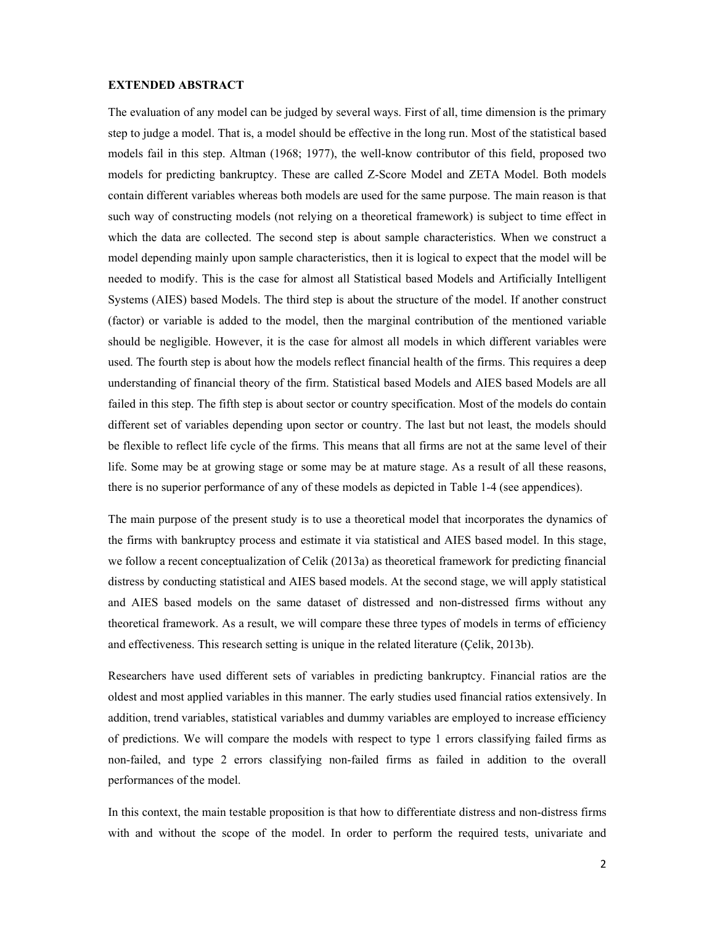## **EXTENDED ABSTRACT**

The evaluation of any model can be judged by several ways. First of all, time dimension is the primary step to judge a model. That is, a model should be effective in the long run. Most of the statistical based models fail in this step. Altman (1968; 1977), the well-know contributor of this field, proposed two models for predicting bankruptcy. These are called Z-Score Model and ZETA Model. Both models contain different variables whereas both models are used for the same purpose. The main reason is that such way of constructing models (not relying on a theoretical framework) is subject to time effect in which the data are collected. The second step is about sample characteristics. When we construct a model depending mainly upon sample characteristics, then it is logical to expect that the model will be needed to modify. This is the case for almost all Statistical based Models and Artificially Intelligent Systems (AIES) based Models. The third step is about the structure of the model. If another construct (factor) or variable is added to the model, then the marginal contribution of the mentioned variable should be negligible. However, it is the case for almost all models in which different variables were used. The fourth step is about how the models reflect financial health of the firms. This requires a deep understanding of financial theory of the firm. Statistical based Models and AIES based Models are all failed in this step. The fifth step is about sector or country specification. Most of the models do contain different set of variables depending upon sector or country. The last but not least, the models should be flexible to reflect life cycle of the firms. This means that all firms are not at the same level of their life. Some may be at growing stage or some may be at mature stage. As a result of all these reasons, there is no superior performance of any of these models as depicted in Table 1-4 (see appendices).

The main purpose of the present study is to use a theoretical model that incorporates the dynamics of the firms with bankruptcy process and estimate it via statistical and AIES based model. In this stage, we follow a recent conceptualization of Celik (2013a) as theoretical framework for predicting financial distress by conducting statistical and AIES based models. At the second stage, we will apply statistical and AIES based models on the same dataset of distressed and non-distressed firms without any theoretical framework. As a result, we will compare these three types of models in terms of efficiency and effectiveness. This research setting is unique in the related literature (Çelik, 2013b).

Researchers have used different sets of variables in predicting bankruptcy. Financial ratios are the oldest and most applied variables in this manner. The early studies used financial ratios extensively. In addition, trend variables, statistical variables and dummy variables are employed to increase efficiency of predictions. We will compare the models with respect to type 1 errors classifying failed firms as non-failed, and type 2 errors classifying non-failed firms as failed in addition to the overall performances of the model.

In this context, the main testable proposition is that how to differentiate distress and non-distress firms with and without the scope of the model. In order to perform the required tests, univariate and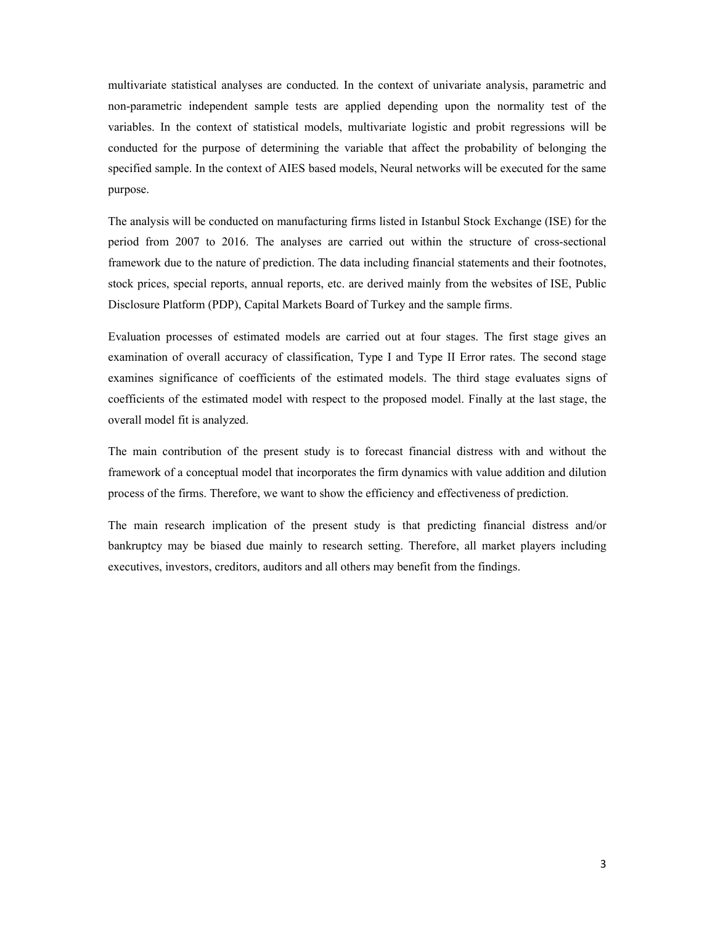multivariate statistical analyses are conducted. In the context of univariate analysis, parametric and non-parametric independent sample tests are applied depending upon the normality test of the variables. In the context of statistical models, multivariate logistic and probit regressions will be conducted for the purpose of determining the variable that affect the probability of belonging the specified sample. In the context of AIES based models, Neural networks will be executed for the same purpose.

The analysis will be conducted on manufacturing firms listed in Istanbul Stock Exchange (ISE) for the period from 2007 to 2016. The analyses are carried out within the structure of cross-sectional framework due to the nature of prediction. The data including financial statements and their footnotes, stock prices, special reports, annual reports, etc. are derived mainly from the websites of ISE, Public Disclosure Platform (PDP), Capital Markets Board of Turkey and the sample firms.

Evaluation processes of estimated models are carried out at four stages. The first stage gives an examination of overall accuracy of classification, Type I and Type II Error rates. The second stage examines significance of coefficients of the estimated models. The third stage evaluates signs of coefficients of the estimated model with respect to the proposed model. Finally at the last stage, the overall model fit is analyzed.

The main contribution of the present study is to forecast financial distress with and without the framework of a conceptual model that incorporates the firm dynamics with value addition and dilution process of the firms. Therefore, we want to show the efficiency and effectiveness of prediction.

The main research implication of the present study is that predicting financial distress and/or bankruptcy may be biased due mainly to research setting. Therefore, all market players including executives, investors, creditors, auditors and all others may benefit from the findings.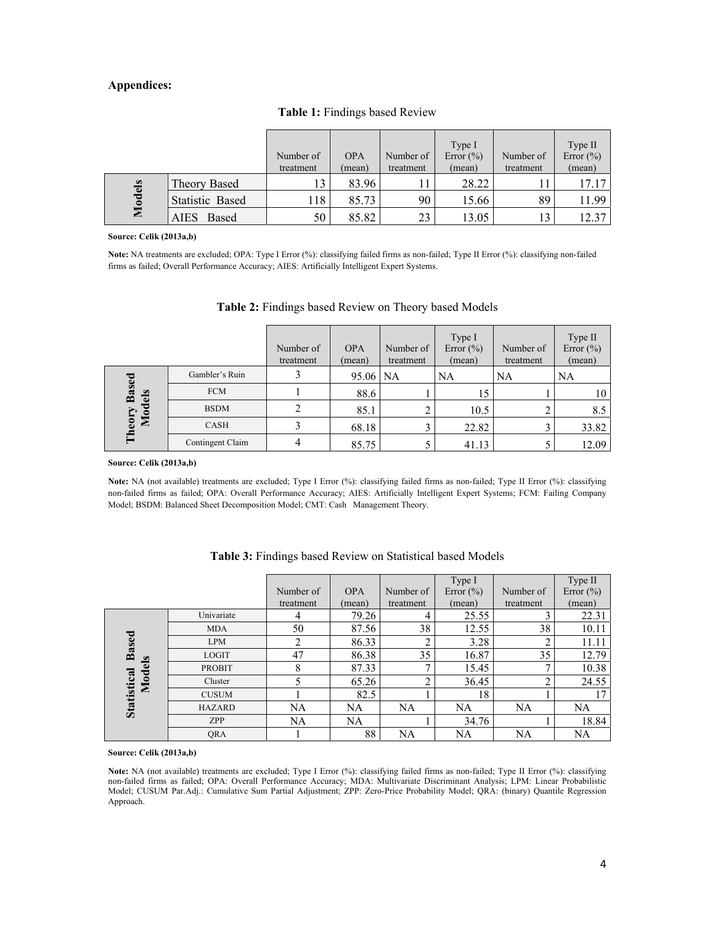## **Appendices:**

|               |                        | Number of<br>treatment | <b>OPA</b><br>(mean) | Number of<br>treatment | Type I<br>Error $(\% )$<br>(mean) | Number of<br>treatment | Type II<br>Error $(\%)$<br>(mean) |
|---------------|------------------------|------------------------|----------------------|------------------------|-----------------------------------|------------------------|-----------------------------------|
| <b>Models</b> | Theory Based           |                        | 83.96                |                        | 28.22                             |                        | 17.17                             |
|               | <b>Statistic Based</b> | 118                    | 85.73                | 90                     | 15.66                             | 89                     | 11.99                             |
|               | AIES<br>Based          | 50                     | 85.82                | 23                     | 13.05                             |                        | 12.37                             |

# **Table 1:** Findings based Review

#### **Source: Celik (2013a,b)**

**Note:** NA treatments are excluded; OPA: Type I Error (%): classifying failed firms as non-failed; Type II Error (%): classifying non-failed firms as failed; Overall Performance Accuracy; AIES: Artificially Intelligent Expert Systems.

|                                        |                  | Number of<br>treatment | <b>OPA</b><br>(mean) | Number of<br>treatment | Type I<br>Error $(\% )$<br>(mean) | Number of<br>treatment | Type II<br>Error $(\% )$<br>(mean) |
|----------------------------------------|------------------|------------------------|----------------------|------------------------|-----------------------------------|------------------------|------------------------------------|
|                                        | Gambler's Ruin   |                        | 95.06                | <b>NA</b>              | <b>NA</b>                         | <b>NA</b>              | NA                                 |
| <b>Based</b><br><b>Models</b><br>reory | <b>FCM</b>       |                        | 88.6                 |                        | 15                                |                        | 10                                 |
|                                        | <b>BSDM</b>      |                        | 85.1                 |                        | 10.5                              |                        | 8.5                                |
|                                        | <b>CASH</b>      |                        | 68.18                |                        | 22.82                             |                        | 33.82                              |
| 틉                                      | Contingent Claim |                        | 85.75                |                        | 41.13                             |                        | 12.09                              |

## **Table 2:** Findings based Review on Theory based Models

### **Source: Celik (2013a,b)**

Note: NA (not available) treatments are excluded; Type I Error (%): classifying failed firms as non-failed; Type II Error (%): classifying non-failed firms as failed; OPA: Overall Performance Accuracy; AIES: Artificially Intelligent Expert Systems; FCM: Failing Company Model; BSDM: Balanced Sheet Decomposition Model; CMT: Cash Management Theory.

|                                       |               |                |            |                          | Type I        |           | Type II       |
|---------------------------------------|---------------|----------------|------------|--------------------------|---------------|-----------|---------------|
|                                       |               | Number of      | <b>OPA</b> | Number of                | Error $(\% )$ | Number of | Error $(\% )$ |
|                                       |               | treatment      | (mean)     | treatment                | (mean)        | treatment | (mean)        |
|                                       | Univariate    | 4              | 79.26      | 4                        | 25.55         |           | 22.31         |
|                                       | <b>MDA</b>    | 50             | 87.56      | 38                       | 12.55         | 38        | 10.11         |
|                                       | <b>LPM</b>    | $\overline{2}$ | 86.33      | ◠                        | 3.28          | ↑         | 11.11         |
| <b>Based</b><br>Models<br>Statistical | <b>LOGIT</b>  | 47             | 86.38      | 35                       | 16.87         | 35        | 12.79         |
|                                       | <b>PROBIT</b> | 8              | 87.33      | $\overline{\phantom{a}}$ | 15.45         | −         | 10.38         |
|                                       | Cluster       | 5              | 65.26      | ◠                        | 36.45         | ↑         | 24.55         |
|                                       | <b>CUSUM</b>  |                | 82.5       |                          | 18            |           | 17            |
|                                       | <b>HAZARD</b> | NA             | NA         | <b>NA</b>                | NA            | <b>NA</b> | <b>NA</b>     |
|                                       | <b>ZPP</b>    | <b>NA</b>      | <b>NA</b>  |                          | 34.76         |           | 18.84         |
|                                       | QRA           |                | 88         | <b>NA</b>                | NA            | NA        | <b>NA</b>     |

# **Table 3:** Findings based Review on Statistical based Models

#### **Source: Celik (2013a,b)**

**Note:** NA (not available) treatments are excluded; Type I Error (%): classifying failed firms as non-failed; Type II Error (%): classifying non-failed firms as failed; OPA: Overall Performance Accuracy; MDA: Multivariate Discriminant Analysis; LPM: Linear Probabilistic Model; CUSUM Par.Adj.: Cumulative Sum Partial Adjustment; ZPP: Zero-Price Probability Model; QRA: (binary) Quantile Regression Approach.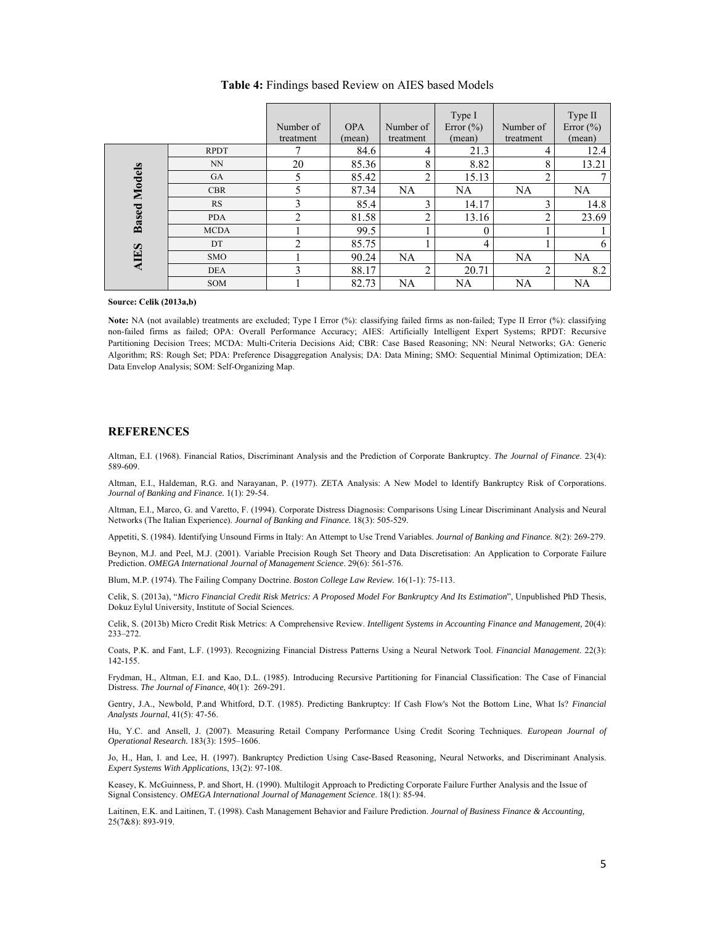|                                    |             | Number of<br>treatment | <b>OPA</b><br>(mean) | Number of<br>treatment | Type I<br>Error $(\% )$<br>(mean) | Number of<br>treatment | Type II<br>Error $(\% )$<br>(mean) |
|------------------------------------|-------------|------------------------|----------------------|------------------------|-----------------------------------|------------------------|------------------------------------|
|                                    | <b>RPDT</b> | ⇁                      | 84.6                 | 4                      | 21.3                              | 4                      | 12.4                               |
|                                    | NN          | 20                     | 85.36                | 8                      | 8.82                              | 8                      | 13.21                              |
|                                    | <b>GA</b>   | 5                      | 85.42                | ↑                      | 15.13                             | 2                      |                                    |
| <b>Based Models</b><br><b>AIES</b> | <b>CBR</b>  | 5                      | 87.34                | <b>NA</b>              | <b>NA</b>                         | <b>NA</b>              | <b>NA</b>                          |
|                                    | RS          | 3                      | 85.4                 | 3                      | 14.17                             | 3                      | 14.8                               |
|                                    | <b>PDA</b>  | $\overline{2}$         | 81.58                | ↑                      | 13.16                             | ↑                      | 23.69                              |
|                                    | <b>MCDA</b> |                        | 99.5                 |                        | $\theta$                          |                        |                                    |
|                                    | DT          | $\overline{2}$         | 85.75                |                        | 4                                 |                        | 6                                  |
|                                    | <b>SMO</b>  |                        | 90.24                | <b>NA</b>              | NA.                               | NA                     | <b>NA</b>                          |
|                                    | <b>DEA</b>  | 3                      | 88.17                | C                      | 20.71                             | $\overline{2}$         | 8.2                                |
|                                    | SOM         |                        | 82.73                | <b>NA</b>              | <b>NA</b>                         | NA                     | <b>NA</b>                          |

## **Table 4:** Findings based Review on AIES based Models

**Source: Celik (2013a,b)** 

**Note:** NA (not available) treatments are excluded; Type I Error (%): classifying failed firms as non-failed; Type II Error (%): classifying non-failed firms as failed; OPA: Overall Performance Accuracy; AIES: Artificially Intelligent Expert Systems; RPDT: Recursive Partitioning Decision Trees; MCDA: Multi-Criteria Decisions Aid; CBR: Case Based Reasoning; NN: Neural Networks; GA: Generic Algorithm; RS: Rough Set; PDA: Preference Disaggregation Analysis; DA: Data Mining; SMO: Sequential Minimal Optimization; DEA: Data Envelop Analysis; SOM: Self-Organizing Map.

## **REFERENCES**

Altman, E.I. (1968). Financial Ratios, Discriminant Analysis and the Prediction of Corporate Bankruptcy. *The Journal of Finance*. 23(4): 589-609.

Altman, E.I., Haldeman, R.G. and Narayanan, P. (1977). ZETA Analysis: A New Model to Identify Bankruptcy Risk of Corporations. *Journal of Banking and Finance.* 1(1): 29-54.

Altman, E.I., Marco, G. and Varetto, F. (1994). Corporate Distress Diagnosis: Comparisons Using Linear Discriminant Analysis and Neural Networks (The Italian Experience). *Journal of Banking and Finance.* 18(3): 505-529.

Appetiti, S. (1984). Identifying Unsound Firms in Italy: An Attempt to Use Trend Variables. *Journal of Banking and Finance*. 8(2): 269-279.

Beynon, M.J. and Peel, M.J. (2001). Variable Precision Rough Set Theory and Data Discretisation: An Application to Corporate Failure Prediction. *OMEGA International Journal of Management Science*. 29(6): 561-576.

Blum, M.P. (1974). The Failing Company Doctrine. *Boston College Law Review.* 16(1-1): 75-113.

Celik, S. (2013a), "*Micro Financial Credit Risk Metrics: A Proposed Model For Bankruptcy And Its Estimation*", Unpublished PhD Thesis, Dokuz Eylul University, Institute of Social Sciences.

Celik, S. (2013b) Micro Credit Risk Metrics: A Comprehensive Review. *Intelligent Systems in Accounting Finance and Management,* 20(4): 233–272.

Coats, P.K. and Fant, L.F. (1993). Recognizing Financial Distress Patterns Using a Neural Network Tool. *Financial Management*. 22(3): 142-155.

Frydman, H., Altman, E.I. and Kao, D.L. (1985). Introducing Recursive Partitioning for Financial Classification: The Case of Financial Distress. *The Journal of Finance*, 40(1): 269-291.

Gentry, J.A., Newbold, P.and Whitford, D.T. (1985). Predicting Bankruptcy: If Cash Flow's Not the Bottom Line, What Is? *Financial Analysts Journal*, 41(5): 47-56.

Hu, Y.C. and Ansell, J. (2007). Measuring Retail Company Performance Using Credit Scoring Techniques. *European Journal of Operational Research.* 183(3): 1595–1606.

Jo, H., Han, I. and Lee, H. (1997). Bankruptcy Prediction Using Case-Based Reasoning, Neural Networks, and Discriminant Analysis. *Expert Systems With Applications*, 13(2): 97-108.

Keasey, K. McGuinness, P. and Short, H. (1990). Multilogit Approach to Predicting Corporate Failure Further Analysis and the Issue of Signal Consistency. *OMEGA International Journal of Management Science*. 18(1): 85-94.

Laitinen, E.K. and Laitinen, T. (1998). Cash Management Behavior and Failure Prediction. *Journal of Business Finance & Accounting,* 25(7&8): 893-919.